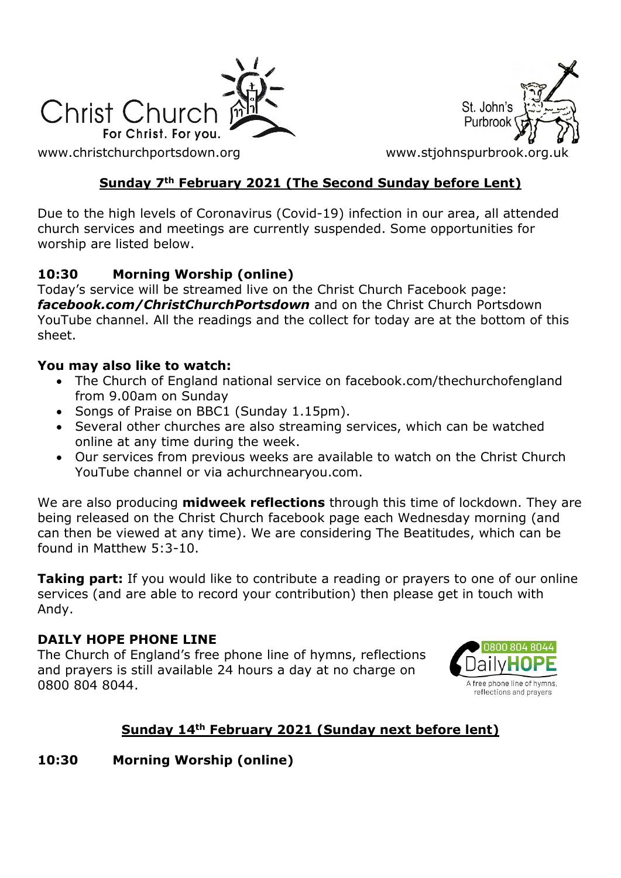

St. John's Purbroo

[www.christchurchportsdown.org](http://www.christchurchportsdown.org/) www.stjohnspurbrook.org

### **Sunday 7th February 2021 (The Second Sunday before Lent)**

Due to the high levels of Coronavirus (Covid-19) infection in our area, all attended church services and meetings are currently suspended. Some opportunities for worship are listed below.

#### **10:30 Morning Worship (online)**

Today's service will be streamed live on the Christ Church Facebook page: *[facebook.com/ChristChurchPortsdown](http://www.facebook.com/ChristChurchPortsdown%20at%2010.30)* and on the Christ Church Portsdown YouTube channel. All the readings and the collect for today are at the bottom of this sheet.

#### **You may also like to watch:**

- The Church of England national service on facebook.com/thechurchofengland from 9.00am on Sunday
- Songs of Praise on BBC1 (Sunday 1.15pm).
- Several other churches are also streaming services, which can be watched online at any time during the week.
- Our services from previous weeks are available to watch on the Christ Church YouTube channel or via achurchnearyou.com.

We are also producing **midweek reflections** through this time of lockdown. They are being released on the Christ Church facebook page each Wednesday morning (and can then be viewed at any time). We are considering The Beatitudes, which can be found in Matthew 5:3-10.

**Taking part:** If you would like to contribute a reading or prayers to one of our online services (and are able to record your contribution) then please get in touch with Andy.

#### **DAILY HOPE PHONE LINE**

The Church of England's free phone line of hymns, reflections and prayers is still available 24 hours a day at no charge on 0800 804 8044.



### **Sunday 14th February 2021 (Sunday next before lent)**

### **10:30 Morning Worship (online)**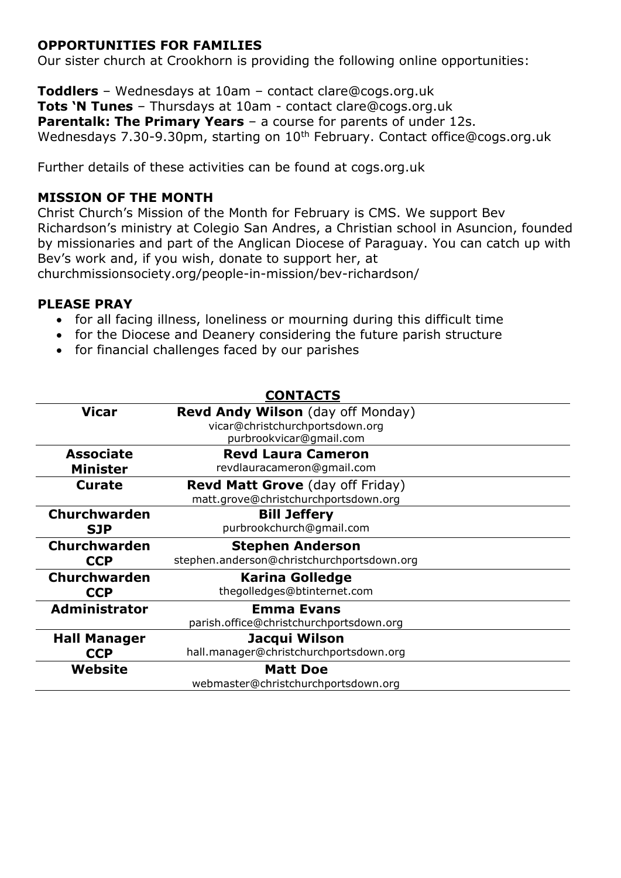#### **OPPORTUNITIES FOR FAMILIES**

Our sister church at Crookhorn is providing the following online opportunities:

**Toddlers** – Wednesdays at 10am – contact clare@cogs.org.uk **Tots 'N Tunes** – Thursdays at 10am - contact clare@cogs.org.uk **Parentalk: The Primary Years** – a course for parents of under 12s. Wednesdays 7.30-9.30pm, starting on 10<sup>th</sup> February. Contact [office@cogs.org.uk](mailto:office@cogs.org.uk)

Further details of these activities can be found at cogs.org.uk

#### **MISSION OF THE MONTH**

Christ Church's Mission of the Month for February is CMS. We support Bev Richardson's ministry at Colegio San Andres, a Christian school in Asuncion, founded by missionaries and part of the Anglican Diocese of Paraguay. You can catch up with Bev's work and, if you wish, donate to support her, at [churchmissionsociety.org/people-in-mission/bev-richardson/](https://churchmissionsociety.org/people-in-mission/bev-richardson/)

#### **PLEASE PRAY**

- for all facing illness, loneliness or mourning during this difficult time
- for the Diocese and Deanery considering the future parish structure
- for financial challenges faced by our parishes

|                      | <b>CONTACTS</b>                            |
|----------------------|--------------------------------------------|
| <b>Vicar</b>         | <b>Revd Andy Wilson</b> (day off Monday)   |
|                      | vicar@christchurchportsdown.org            |
|                      | purbrookvicar@gmail.com                    |
| <b>Associate</b>     | <b>Revd Laura Cameron</b>                  |
| <b>Minister</b>      | revdlauracameron@gmail.com                 |
| <b>Curate</b>        | <b>Revd Matt Grove</b> (day off Friday)    |
|                      | matt.grove@christchurchportsdown.org       |
| <b>Churchwarden</b>  | <b>Bill Jeffery</b>                        |
| <b>SJP</b>           | purbrookchurch@gmail.com                   |
| <b>Churchwarden</b>  | <b>Stephen Anderson</b>                    |
| <b>CCP</b>           | stephen.anderson@christchurchportsdown.org |
| <b>Churchwarden</b>  | <b>Karina Golledge</b>                     |
| <b>CCP</b>           | thegolledges@btinternet.com                |
| <b>Administrator</b> | <b>Emma Evans</b>                          |
|                      | parish.office@christchurchportsdown.org    |
| <b>Hall Manager</b>  | Jacqui Wilson                              |
| <b>CCP</b>           | hall.manager@christchurchportsdown.org     |
| Website              | <b>Matt Doe</b>                            |
|                      | webmaster@christchurchportsdown.org        |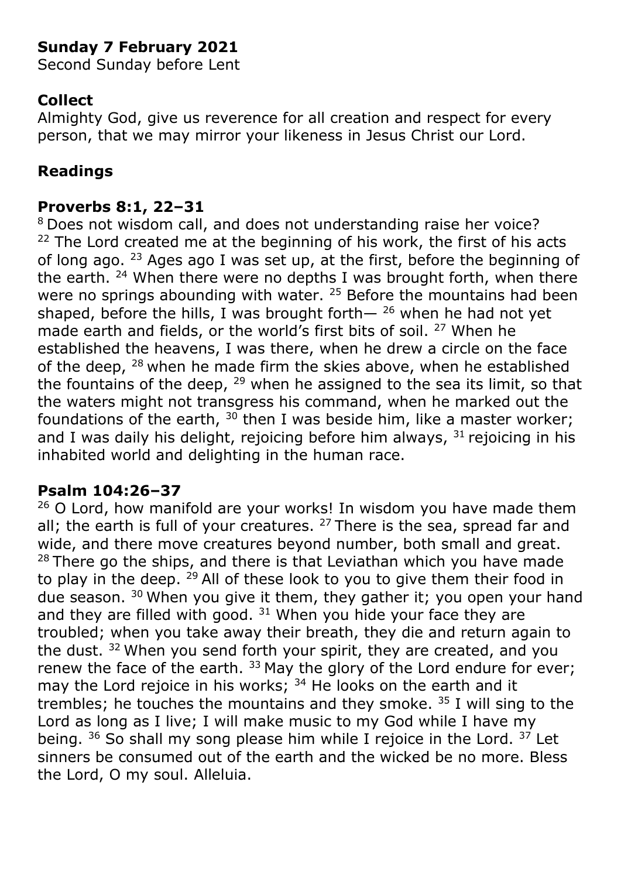# **Sunday 7 February 2021**

Second Sunday before Lent

# **Collect**

Almighty God, give us reverence for all creation and respect for every person, that we may mirror your likeness in Jesus Christ our Lord.

# **Readings**

### **Proverbs 8:1, 22–31**

<sup>8</sup> Does not wisdom call, and does not understanding raise her voice?  $22$  The Lord created me at the beginning of his work, the first of his acts of long ago. <sup>23</sup> Ages ago I was set up, at the first, before the beginning of the earth.  $24$  When there were no depths I was brought forth, when there were no springs abounding with water. <sup>25</sup> Before the mountains had been shaped, before the hills, I was brought forth $-$  <sup>26</sup> when he had not yet made earth and fields, or the world's first bits of soil. <sup>27</sup> When he established the heavens, I was there, when he drew a circle on the face of the deep, <sup>28</sup> when he made firm the skies above, when he established the fountains of the deep,  $29$  when he assigned to the sea its limit, so that the waters might not transgress his command, when he marked out the foundations of the earth,  $30$  then I was beside him, like a master worker; and I was daily his delight, rejoicing before him always,  $31$  rejoicing in his inhabited world and delighting in the human race.

## **Psalm 104:26–37**

 $26$  O Lord, how manifold are your works! In wisdom you have made them all; the earth is full of your creatures.  $27$  There is the sea, spread far and wide, and there move creatures beyond number, both small and great.  $28$  There go the ships, and there is that Leviathan which you have made to play in the deep. <sup>29</sup> All of these look to you to give them their food in due season. <sup>30</sup> When you give it them, they gather it; you open your hand and they are filled with good.  $31$  When you hide your face they are troubled; when you take away their breath, they die and return again to the dust. <sup>32</sup> When you send forth your spirit, they are created, and you renew the face of the earth.  $33$  May the glory of the Lord endure for ever; may the Lord rejoice in his works;  $34$  He looks on the earth and it trembles; he touches the mountains and they smoke.  $35$  I will sing to the Lord as long as I live; I will make music to my God while I have my being. <sup>36</sup> So shall my song please him while I rejoice in the Lord. <sup>37</sup> Let sinners be consumed out of the earth and the wicked be no more. Bless the Lord, O my soul. Alleluia.